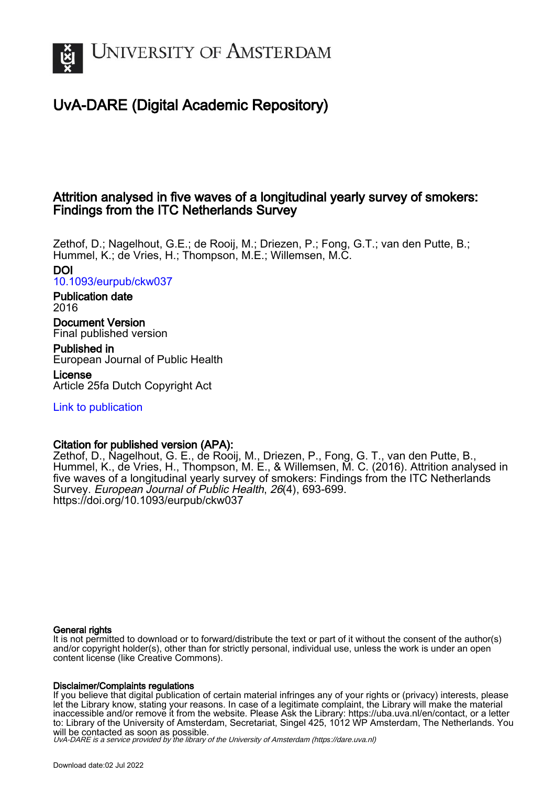

# UvA-DARE (Digital Academic Repository)

# Attrition analysed in five waves of a longitudinal yearly survey of smokers: Findings from the ITC Netherlands Survey

Zethof, D.; Nagelhout, G.E.; de Rooij, M.; Driezen, P.; Fong, G.T.; van den Putte, B.; Hummel, K.; de Vries, H.; Thompson, M.E.; Willemsen, M.C. DOI

[10.1093/eurpub/ckw037](https://doi.org/10.1093/eurpub/ckw037)

Publication date 2016

Document Version Final published version

Published in European Journal of Public Health

License Article 25fa Dutch Copyright Act

[Link to publication](https://dare.uva.nl/personal/pure/en/publications/attrition-analysed-in-five-waves-of-a-longitudinal-yearly-survey-of-smokers-findings-from-the-itc-netherlands-survey(6cb60f9d-81b1-4de2-8380-39d32c3c7edc).html)

## Citation for published version (APA):

Zethof, D., Nagelhout, G. E., de Rooij, M., Driezen, P., Fong, G. T., van den Putte, B., Hummel, K., de Vries, H., Thompson, M. E., & Willemsen, M. C. (2016). Attrition analysed in five waves of a longitudinal yearly survey of smokers: Findings from the ITC Netherlands Survey. European Journal of Public Health, 26(4), 693-699. <https://doi.org/10.1093/eurpub/ckw037>

### General rights

It is not permitted to download or to forward/distribute the text or part of it without the consent of the author(s) and/or copyright holder(s), other than for strictly personal, individual use, unless the work is under an open content license (like Creative Commons).

### Disclaimer/Complaints regulations

If you believe that digital publication of certain material infringes any of your rights or (privacy) interests, please let the Library know, stating your reasons. In case of a legitimate complaint, the Library will make the material inaccessible and/or remove it from the website. Please Ask the Library: https://uba.uva.nl/en/contact, or a letter to: Library of the University of Amsterdam, Secretariat, Singel 425, 1012 WP Amsterdam, The Netherlands. You will be contacted as soon as possible.

UvA-DARE is a service provided by the library of the University of Amsterdam (http*s*://dare.uva.nl)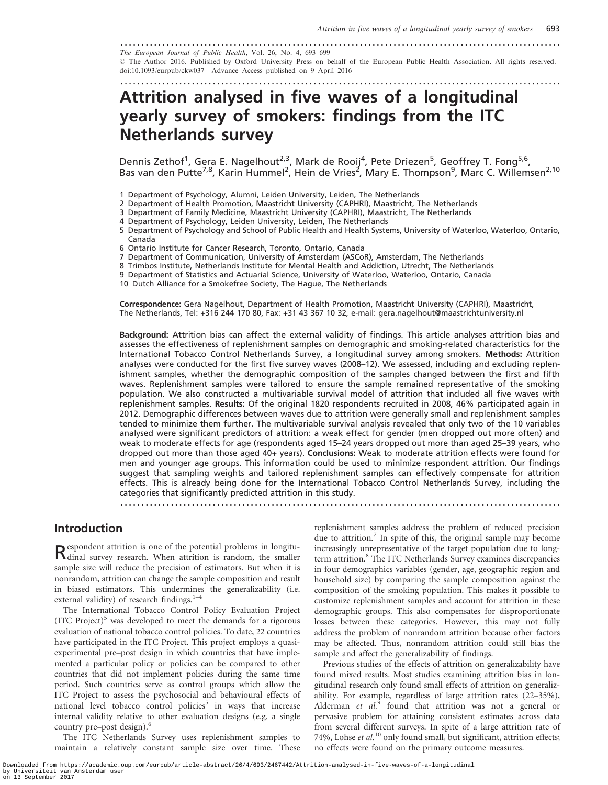......................................................................................................... The European Journal of Public Health, Vol. 26, No. 4, 693–699 - The Author 2016. Published by Oxford University Press on behalf of the European Public Health Association. All rights reserved. doi:10.1093/eurpub/ckw037 Advance Access published on 9 April 2016

.........................................................................................................

# Attrition analysed in five waves of a longitudinal yearly survey of smokers: findings from the ITC Netherlands survey

Dennis Zethof<sup>1</sup>, Gera E. Nagelhout<sup>2,3</sup>, Mark de Rooij<sup>4</sup>, Pete Driezen<sup>5</sup>, Geoffrey T. Fong<sup>5,6</sup>, Bas van den Putte<sup>7,8</sup>, Karin Hummel<sup>2</sup>, Hein de Vries<sup>2</sup>, Mary E. Thompson<sup>9</sup>, Marc C. Willemsen<sup>2,10</sup>

1 Department of Psychology, Alumni, Leiden University, Leiden, The Netherlands

- 2 Department of Health Promotion, Maastricht University (CAPHRI), Maastricht, The Netherlands
- 3 Department of Family Medicine, Maastricht University (CAPHRI), Maastricht, The Netherlands
- 4 Department of Psychology, Leiden University, Leiden, The Netherlands
- 5 Department of Psychology and School of Public Health and Health Systems, University of Waterloo, Waterloo, Ontario, Canada
- 6 Ontario Institute for Cancer Research, Toronto, Ontario, Canada
- 7 Department of Communication, University of Amsterdam (ASCoR), Amsterdam, The Netherlands
- 8 Trimbos Institute, Netherlands Institute for Mental Health and Addiction, Utrecht, The Netherlands
- 9 Department of Statistics and Actuarial Science, University of Waterloo, Waterloo, Ontario, Canada

10 Dutch Alliance for a Smokefree Society, The Hague, The Netherlands

Correspondence: Gera Nagelhout, Department of Health Promotion, Maastricht University (CAPHRI), Maastricht, The Netherlands, Tel: +316 244 170 80, Fax: +31 43 367 10 32, e-mail: gera.nagelhout@maastrichtuniversity.nl

Background: Attrition bias can affect the external validity of findings. This article analyses attrition bias and assesses the effectiveness of replenishment samples on demographic and smoking-related characteristics for the International Tobacco Control Netherlands Survey, a longitudinal survey among smokers. Methods: Attrition analyses were conducted for the first five survey waves (2008–12). We assessed, including and excluding replenishment samples, whether the demographic composition of the samples changed between the first and fifth waves. Replenishment samples were tailored to ensure the sample remained representative of the smoking population. We also constructed a multivariable survival model of attrition that included all five waves with replenishment samples. Results: Of the original 1820 respondents recruited in 2008, 46% participated again in 2012. Demographic differences between waves due to attrition were generally small and replenishment samples tended to minimize them further. The multivariable survival analysis revealed that only two of the 10 variables analysed were significant predictors of attrition: a weak effect for gender (men dropped out more often) and weak to moderate effects for age (respondents aged 15–24 years dropped out more than aged 25–39 years, who dropped out more than those aged 40+ years). Conclusions: Weak to moderate attrition effects were found for men and younger age groups. This information could be used to minimize respondent attrition. Our findings suggest that sampling weights and tailored replenishment samples can effectively compensate for attrition effects. This is already being done for the International Tobacco Control Netherlands Survey, including the categories that significantly predicted attrition in this study.

.........................................................................................................

### Introduction

Respondent attrition is one of the potential problems in longitu-dinal survey research. When attrition is random, the smaller sample size will reduce the precision of estimators. But when it is nonrandom, attrition can change the sample composition and result in biased estimators. This undermines the generalizability (i.e. external validity) of research findings.<sup>1-4</sup>

The International Tobacco Control Policy Evaluation Project  $(ITC Project)^5$  was developed to meet the demands for a rigorous evaluation of national tobacco control policies. To date, 22 countries have participated in the ITC Project. This project employs a quasiexperimental pre–post design in which countries that have implemented a particular policy or policies can be compared to other countries that did not implement policies during the same time period. Such countries serve as control groups which allow the ITC Project to assess the psychosocial and behavioural effects of national level tobacco control policies<sup>5</sup> in ways that increase internal validity relative to other evaluation designs (e.g. a single country pre–post design).<sup>6</sup>

The ITC Netherlands Survey uses replenishment samples to maintain a relatively constant sample size over time. These replenishment samples address the problem of reduced precision due to attrition.<sup>7</sup> In spite of this, the original sample may become increasingly unrepresentative of the target population due to longterm attrition.<sup>8</sup> The ITC Netherlands Survey examines discrepancies in four demographics variables (gender, age, geographic region and household size) by comparing the sample composition against the composition of the smoking population. This makes it possible to customize replenishment samples and account for attrition in these demographic groups. This also compensates for disproportionate losses between these categories. However, this may not fully address the problem of nonrandom attrition because other factors may be affected. Thus, nonrandom attrition could still bias the sample and affect the generalizability of findings.

Previous studies of the effects of attrition on generalizability have found mixed results. Most studies examining attrition bias in longitudinal research only found small effects of attrition on generalizability. For example, regardless of large attrition rates (22–35%), Alderman et  $al$ <sup>5</sup> found that attrition was not a general or pervasive problem for attaining consistent estimates across data from several different surveys. In spite of a large attrition rate of 74%, Lohse et  $al$ .<sup>10</sup> only found small, but significant, attrition effects; no effects were found on the primary outcome measures.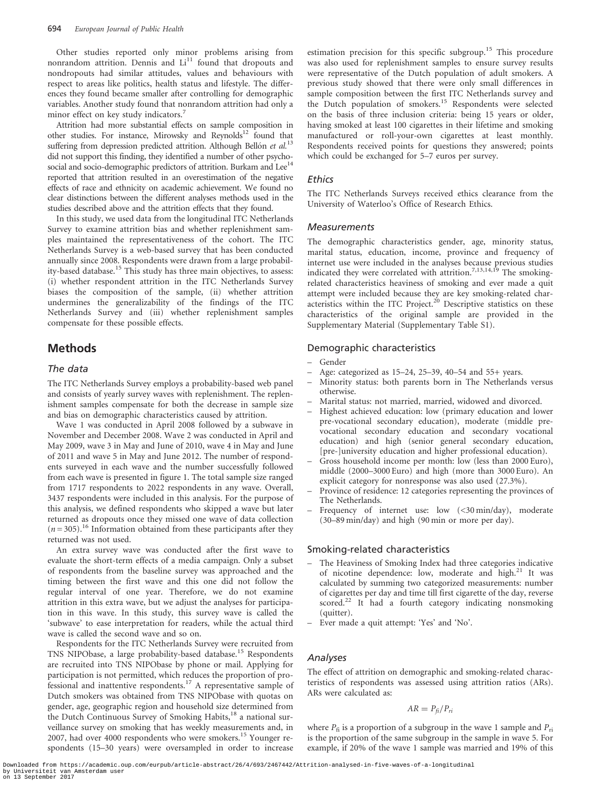Other studies reported only minor problems arising from nonrandom attrition. Dennis and Li<sup>11</sup> found that dropouts and nondropouts had similar attitudes, values and behaviours with respect to areas like politics, health status and lifestyle. The differences they found became smaller after controlling for demographic variables. Another study found that nonrandom attrition had only a minor effect on key study indicators.<sup>7</sup>

Attrition had more substantial effects on sample composition in other studies. For instance, Mirowsky and Reynolds<sup>12</sup> found that suffering from depression predicted attrition. Although Bellón et al.<sup>13</sup> did not support this finding, they identified a number of other psychosocial and socio-demographic predictors of attrition. Burkam and Lee<sup>14</sup> reported that attrition resulted in an overestimation of the negative effects of race and ethnicity on academic achievement. We found no clear distinctions between the different analyses methods used in the studies described above and the attrition effects that they found.

In this study, we used data from the longitudinal ITC Netherlands Survey to examine attrition bias and whether replenishment samples maintained the representativeness of the cohort. The ITC Netherlands Survey is a web-based survey that has been conducted annually since 2008. Respondents were drawn from a large probability-based database.<sup>15</sup> This study has three main objectives, to assess: (i) whether respondent attrition in the ITC Netherlands Survey biases the composition of the sample, (ii) whether attrition undermines the generalizability of the findings of the ITC Netherlands Survey and (iii) whether replenishment samples compensate for these possible effects.

### Methods

#### The data

The ITC Netherlands Survey employs a probability-based web panel and consists of yearly survey waves with replenishment. The replenishment samples compensate for both the decrease in sample size and bias on demographic characteristics caused by attrition.

Wave 1 was conducted in April 2008 followed by a subwave in November and December 2008. Wave 2 was conducted in April and May 2009, wave 3 in May and June of 2010, wave 4 in May and June of 2011 and wave 5 in May and June 2012. The number of respondents surveyed in each wave and the number successfully followed from each wave is presented in figure 1. The total sample size ranged from 1717 respondents to 2022 respondents in any wave. Overall, 3437 respondents were included in this analysis. For the purpose of this analysis, we defined respondents who skipped a wave but later returned as dropouts once they missed one wave of data collection  $(n = 305)$ <sup>16</sup> Information obtained from these participants after they returned was not used.

An extra survey wave was conducted after the first wave to evaluate the short-term effects of a media campaign. Only a subset of respondents from the baseline survey was approached and the timing between the first wave and this one did not follow the regular interval of one year. Therefore, we do not examine attrition in this extra wave, but we adjust the analyses for participation in this wave. In this study, this survey wave is called the 'subwave' to ease interpretation for readers, while the actual third wave is called the second wave and so on.

Respondents for the ITC Netherlands Survey were recruited from TNS NIPObase, a large probability-based database.<sup>15</sup> Respondents are recruited into TNS NIPObase by phone or mail. Applying for participation is not permitted, which reduces the proportion of professional and inattentive respondents.<sup>17</sup> A representative sample of Dutch smokers was obtained from TNS NIPObase with quotas on gender, age, geographic region and household size determined from the Dutch Continuous Survey of Smoking Habits,<sup>18</sup> a national surveillance survey on smoking that has weekly measurements and, in 2007, had over 4000 respondents who were smokers.<sup>15</sup> Younger respondents (15–30 years) were oversampled in order to increase

estimation precision for this specific subgroup.<sup>15</sup> This procedure was also used for replenishment samples to ensure survey results were representative of the Dutch population of adult smokers. A previous study showed that there were only small differences in sample composition between the first ITC Netherlands survey and the Dutch population of smokers.<sup>15</sup> Respondents were selected on the basis of three inclusion criteria: being 15 years or older, having smoked at least 100 cigarettes in their lifetime and smoking manufactured or roll-your-own cigarettes at least monthly. Respondents received points for questions they answered; points which could be exchanged for 5–7 euros per survey.

#### **Ethics**

The ITC Netherlands Surveys received ethics clearance from the University of Waterloo's Office of Research Ethics.

#### **Measurements**

The demographic characteristics gender, age, minority status, marital status, education, income, province and frequency of internet use were included in the analyses because previous studies indicated they were correlated with attrition.<sup>7,13,14,19</sup> The smokingrelated characteristics heaviness of smoking and ever made a quit attempt were included because they are key smoking-related characteristics within the ITC Project.<sup>20</sup> Descriptive statistics on these characteristics of the original sample are provided in the [Supplementary Material](http://eurpub.oxfordjournals.org/lookup/suppl/doi:10.1093/eurpub/ckw037/-/DC1) [\(Supplementary Table S1](http://eurpub.oxfordjournals.org/lookup/suppl/doi:10.1093/eurpub/ckw037/-/DC1)).

#### Demographic characteristics

- Gender
- Age: categorized as 15–24, 25–39, 40–54 and 55+ years.
- Minority status: both parents born in The Netherlands versus otherwise.
- Marital status: not married, married, widowed and divorced.
- Highest achieved education: low (primary education and lower pre-vocational secondary education), moderate (middle prevocational secondary education and secondary vocational education) and high (senior general secondary education, [pre-]university education and higher professional education).
- Gross household income per month: low (less than 2000 Euro), middle (2000–3000 Euro) and high (more than 3000 Euro). An explicit category for nonresponse was also used (27.3%).
- Province of residence: 12 categories representing the provinces of The Netherlands.
- Frequency of internet use: low (<30 min/day), moderate (30–89 min/day) and high (90 min or more per day).

#### Smoking-related characteristics

- The Heaviness of Smoking Index had three categories indicative of nicotine dependence: low, moderate and high.<sup>21</sup> It was calculated by summing two categorized measurements: number of cigarettes per day and time till first cigarette of the day, reverse scored.<sup>22</sup> It had a fourth category indicating nonsmoking (quitter).
- Ever made a quit attempt: 'Yes' and 'No'.

#### Analyses

The effect of attrition on demographic and smoking-related characteristics of respondents was assessed using attrition ratios (ARs). ARs were calculated as:

$$
AR = P_{fi}/P_n
$$

where  $P_{fi}$  is a proportion of a subgroup in the wave 1 sample and  $P_{ri}$ is the proportion of the same subgroup in the sample in wave 5. For example, if 20% of the wave 1 sample was married and 19% of this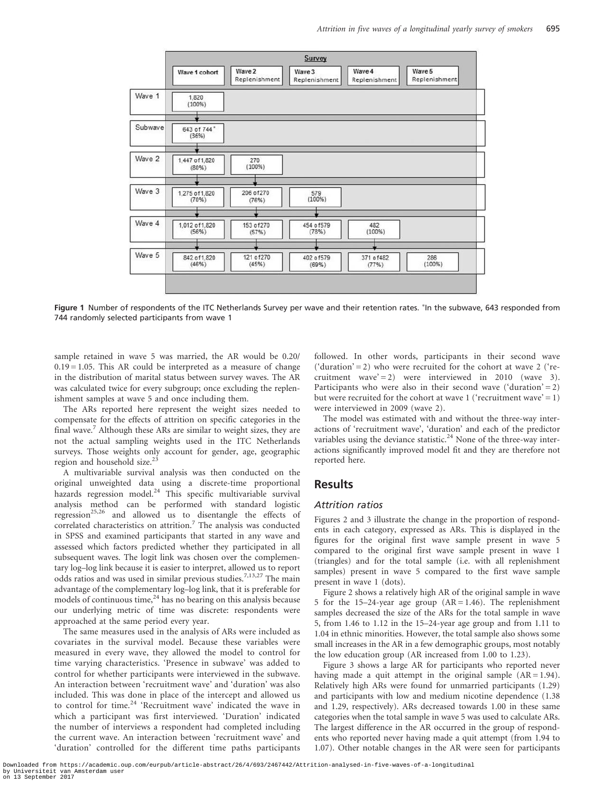

Figure 1 Number of respondents of the ITC Netherlands Survey per wave and their retention rates. \*In the subwave, 643 responded from 744 randomly selected participants from wave 1

sample retained in wave 5 was married, the AR would be 0.20/  $0.19 = 1.05$ . This AR could be interpreted as a measure of change in the distribution of marital status between survey waves. The AR was calculated twice for every subgroup; once excluding the replenishment samples at wave 5 and once including them.

The ARs reported here represent the weight sizes needed to compensate for the effects of attrition on specific categories in the final wave.<sup>7</sup> Although these ARs are similar to weight sizes, they are not the actual sampling weights used in the ITC Netherlands surveys. Those weights only account for gender, age, geographic region and household size.<sup>23</sup>

A multivariable survival analysis was then conducted on the original unweighted data using a discrete-time proportional hazards regression model.<sup>24</sup> This specific multivariable survival analysis method can be performed with standard logistic regression<sup>25,26</sup> and allowed us to disentangle the effects of correlated characteristics on attrition.<sup>7</sup> The analysis was conducted in SPSS and examined participants that started in any wave and assessed which factors predicted whether they participated in all subsequent waves. The logit link was chosen over the complementary log–log link because it is easier to interpret, allowed us to report odds ratios and was used in similar previous studies.<sup>7,13,27</sup> The main advantage of the complementary log–log link, that it is preferable for models of continuous time, $^{24}$  has no bearing on this analysis because our underlying metric of time was discrete: respondents were approached at the same period every year.

The same measures used in the analysis of ARs were included as covariates in the survival model. Because these variables were measured in every wave, they allowed the model to control for time varying characteristics. 'Presence in subwave' was added to control for whether participants were interviewed in the subwave. An interaction between 'recruitment wave' and 'duration' was also included. This was done in place of the intercept and allowed us to control for time.<sup>24</sup> 'Recruitment wave' indicated the wave in which a participant was first interviewed. 'Duration' indicated the number of interviews a respondent had completed including the current wave. An interaction between 'recruitment wave' and 'duration' controlled for the different time paths participants followed. In other words, participants in their second wave ('duration' = 2) who were recruited for the cohort at wave 2 ('recruitment wave' = 2) were interviewed in 2010 (wave 3). Participants who were also in their second wave ('duration' = 2) but were recruited for the cohort at wave 1 ('recruitment wave' = 1) were interviewed in 2009 (wave 2).

The model was estimated with and without the three-way interactions of 'recruitment wave', 'duration' and each of the predictor variables using the deviance statistic.<sup>24</sup> None of the three-way interactions significantly improved model fit and they are therefore not reported here.

### Results

#### Attrition ratios

Figures 2 and 3 illustrate the change in the proportion of respondents in each category, expressed as ARs. This is displayed in the figures for the original first wave sample present in wave 5 compared to the original first wave sample present in wave 1 (triangles) and for the total sample (i.e. with all replenishment samples) present in wave 5 compared to the first wave sample present in wave 1 (dots).

Figure 2 shows a relatively high AR of the original sample in wave 5 for the 15–24-year age group  $(AR = 1.46)$ . The replenishment samples decreased the size of the ARs for the total sample in wave 5, from 1.46 to 1.12 in the 15–24-year age group and from 1.11 to 1.04 in ethnic minorities. However, the total sample also shows some small increases in the AR in a few demographic groups, most notably the low education group (AR increased from 1.00 to 1.23).

Figure 3 shows a large AR for participants who reported never having made a quit attempt in the original sample  $(AR = 1.94)$ . Relatively high ARs were found for unmarried participants (1.29) and participants with low and medium nicotine dependence (1.38 and 1.29, respectively). ARs decreased towards 1.00 in these same categories when the total sample in wave 5 was used to calculate ARs. The largest difference in the AR occurred in the group of respondents who reported never having made a quit attempt (from 1.94 to 1.07). Other notable changes in the AR were seen for participants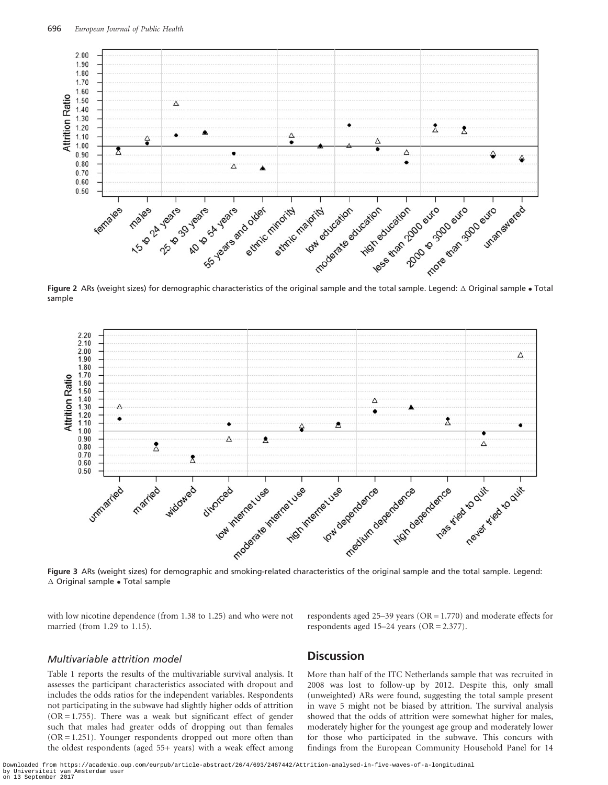

Figure 2 ARs (weight sizes) for demographic characteristics of the original sample and the total sample. Legend:  $\Delta$  Original sample  $\bullet$  Total sample



Figure 3 ARs (weight sizes) for demographic and smoking-related characteristics of the original sample and the total sample. Legend:  $\Delta$  Original sample  $\bullet$  Total sample

with low nicotine dependence (from 1.38 to 1.25) and who were not married (from 1.29 to 1.15).

respondents aged 25–39 years (OR = 1.770) and moderate effects for respondents aged 15–24 years (OR = 2.377).

#### Multivariable attrition model

Table 1 reports the results of the multivariable survival analysis. It assesses the participant characteristics associated with dropout and includes the odds ratios for the independent variables. Respondents not participating in the subwave had slightly higher odds of attrition  $(OR = 1.755)$ . There was a weak but significant effect of gender such that males had greater odds of dropping out than females  $(OR = 1.251)$ . Younger respondents dropped out more often than the oldest respondents (aged 55+ years) with a weak effect among

### **Discussion**

More than half of the ITC Netherlands sample that was recruited in 2008 was lost to follow-up by 2012. Despite this, only small (unweighted) ARs were found, suggesting the total sample present in wave 5 might not be biased by attrition. The survival analysis showed that the odds of attrition were somewhat higher for males, moderately higher for the youngest age group and moderately lower for those who participated in the subwave. This concurs with findings from the European Community Household Panel for 14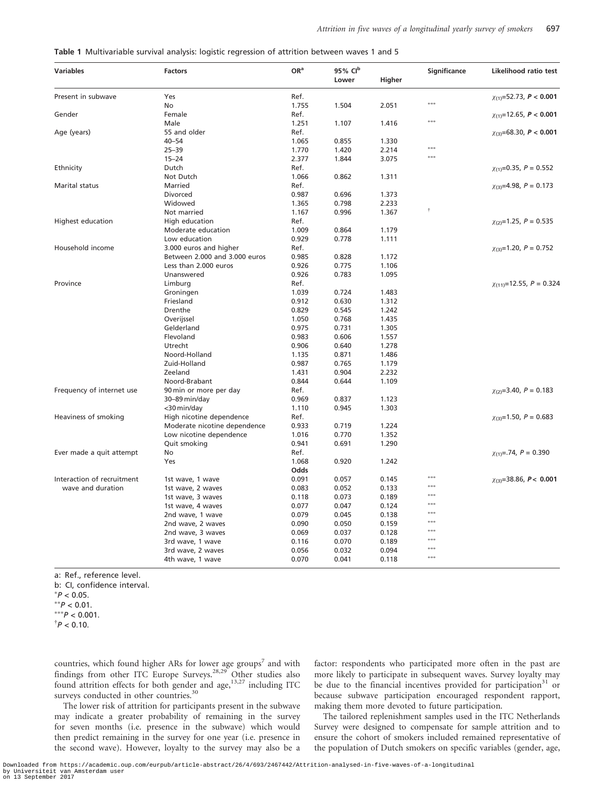| Table 1 Multivariable survival analysis: logistic regression of attrition between waves 1 and 5 |  |  |
|-------------------------------------------------------------------------------------------------|--|--|
|                                                                                                 |  |  |

| <b>Variables</b>           | <b>Factors</b>                | OR <sup>a</sup> | 95% CIb |        | Significance  | Likelihood ratio test              |
|----------------------------|-------------------------------|-----------------|---------|--------|---------------|------------------------------------|
|                            |                               |                 | Lower   | Higher |               |                                    |
| Present in subwave         | Yes                           | Ref.            |         |        |               | $\chi_{(1)} = 52.73$ , $P < 0.001$ |
|                            | No                            | 1.755           | 1.504   | 2.051  | ***           |                                    |
| Gender                     | Female                        | Ref.            |         |        |               | $\chi_{(1)}$ =12.65, P < 0.001     |
|                            | Male                          | 1.251           | 1.107   | 1.416  | ak ak ak      |                                    |
| Age (years)                | 55 and older                  | Ref.            |         |        |               | $\chi_{(3)} = 68.30, P < 0.001$    |
|                            | $40 - 54$                     | 1.065           | 0.855   | 1.330  |               |                                    |
|                            | $25 - 39$                     | 1.770           | 1.420   | 2.214  | $***$         |                                    |
|                            | $15 - 24$                     | 2.377           | 1.844   | 3.075  | ***           |                                    |
| Ethnicity                  | Dutch                         | Ref.            |         |        |               | $\chi_{(1)} = 0.35$ , $P = 0.552$  |
|                            | Not Dutch                     | 1.066           | 0.862   | 1.311  |               |                                    |
| <b>Marital status</b>      | Married                       | Ref.            |         |        |               | $\chi_{(3)} = 4.98$ , $P = 0.173$  |
|                            | Divorced                      | 0.987           | 0.696   | 1.373  |               |                                    |
|                            | Widowed                       | 1.365           | 0.798   | 2.233  |               |                                    |
|                            | Not married                   | 1.167           | 0.996   | 1.367  | Ť             |                                    |
| Highest education          | High education                | Ref.            |         |        |               | $\chi_{(2)}=1.25, P=0.535$         |
|                            | Moderate education            | 1.009           | 0.864   | 1.179  |               |                                    |
|                            | Low education                 | 0.929           | 0.778   | 1.111  |               |                                    |
| Household income           | 3.000 euros and higher        | Ref.            |         |        |               | $\chi_{(3)}=1.20, P=0.752$         |
|                            | Between 2.000 and 3.000 euros | 0.985           | 0.828   | 1.172  |               |                                    |
|                            | Less than 2.000 euros         | 0.926           | 0.775   | 1.106  |               |                                    |
|                            | Unanswered                    | 0.926           | 0.783   | 1.095  |               |                                    |
| Province                   | Limburg                       | Ref.            |         |        |               | $\chi_{(11)} = 12.55, P = 0.324$   |
|                            | Groningen                     | 1.039           | 0.724   | 1.483  |               |                                    |
|                            | Friesland                     | 0.912           | 0.630   | 1.312  |               |                                    |
|                            | Drenthe                       | 0.829           | 0.545   | 1.242  |               |                                    |
|                            | Overijssel                    | 1.050           | 0.768   | 1.435  |               |                                    |
|                            | Gelderland                    | 0.975           | 0.731   | 1.305  |               |                                    |
|                            | Flevoland                     | 0.983           | 0.606   | 1.557  |               |                                    |
|                            | Utrecht                       | 0.906           | 0.640   | 1.278  |               |                                    |
|                            | Noord-Holland                 | 1.135           | 0.871   | 1.486  |               |                                    |
|                            | Zuid-Holland                  | 0.987           | 0.765   | 1.179  |               |                                    |
|                            | Zeeland                       | 1.431           | 0.904   | 2.232  |               |                                    |
|                            | Noord-Brabant                 | 0.844           | 0.644   | 1.109  |               |                                    |
| Frequency of internet use  | 90 min or more per day        | Ref.            |         |        |               | $\chi_{(2)} = 3.40, P = 0.183$     |
|                            | 30–89 min/day                 | 0.969           | 0.837   | 1.123  |               |                                    |
|                            | <30 min/day                   | 1.110           | 0.945   | 1.303  |               |                                    |
| Heaviness of smoking       | High nicotine dependence      | Ref.            |         |        |               | $\chi_{(3)}=1.50, P=0.683$         |
|                            | Moderate nicotine dependence  | 0.933           | 0.719   | 1.224  |               |                                    |
|                            | Low nicotine dependence       | 1.016           | 0.770   | 1.352  |               |                                    |
|                            | Quit smoking                  | 0.941           | 0.691   | 1.290  |               |                                    |
| Ever made a quit attempt   | No                            | Ref.            |         |        |               | $\chi_{(1)} = .74, P = 0.390$      |
|                            | Yes                           | 1.068           | 0.920   | 1.242  |               |                                    |
|                            |                               | Odds            |         |        |               |                                    |
| Interaction of recruitment | 1st wave, 1 wave              | 0.091           | 0.057   | 0.145  | ***           | $\chi_{(3)} = 38.86, P < 0.001$    |
| wave and duration          | 1st wave, 2 waves             | 0.083           | 0.052   | 0.133  | <b>akakak</b> |                                    |
|                            | 1st wave, 3 waves             | 0.118           | 0.073   | 0.189  | ***           |                                    |
|                            | 1st wave, 4 waves             | 0.077           | 0.047   | 0.124  | ***           |                                    |
|                            | 2nd wave, 1 wave              | 0.079           | 0.045   | 0.138  | ***           |                                    |
|                            | 2nd wave, 2 waves             | 0.090           | 0.050   | 0.159  | ***           |                                    |
|                            | 2nd wave, 3 waves             | 0.069           | 0.037   | 0.128  | ***           |                                    |
|                            | 3rd wave, 1 wave              | 0.116           | 0.070   | 0.189  | ***           |                                    |
|                            | 3rd wave, 2 waves             | 0.056           | 0.032   | 0.094  | ***           |                                    |
|                            | 4th wave, 1 wave              | 0.070           | 0.041   | 0.118  | ***           |                                    |
|                            |                               |                 |         |        |               |                                    |

a: Ref., reference level.

b: CI, confidence interval.

 $*P < 0.05$ .<br>\*\*P < 0.01 \*\* $P < 0.01$ .  $^{**}P < 0.001$ .

 $^{\dagger}P < 0.10$ .

countries, which found higher ARs for lower age groups<sup>7</sup> and with findings from other ITC Europe Surveys.<sup>28,29</sup> Other studies also found attrition effects for both gender and age,  $13,27$  including ITC surveys conducted in other countries.<sup>30</sup>

The lower risk of attrition for participants present in the subwave may indicate a greater probability of remaining in the survey for seven months (i.e. presence in the subwave) which would then predict remaining in the survey for one year (i.e. presence in the second wave). However, loyalty to the survey may also be a factor: respondents who participated more often in the past are more likely to participate in subsequent waves. Survey loyalty may be due to the financial incentives provided for participation<sup>31</sup> or because subwave participation encouraged respondent rapport, making them more devoted to future participation.

The tailored replenishment samples used in the ITC Netherlands Survey were designed to compensate for sample attrition and to ensure the cohort of smokers included remained representative of the population of Dutch smokers on specific variables (gender, age,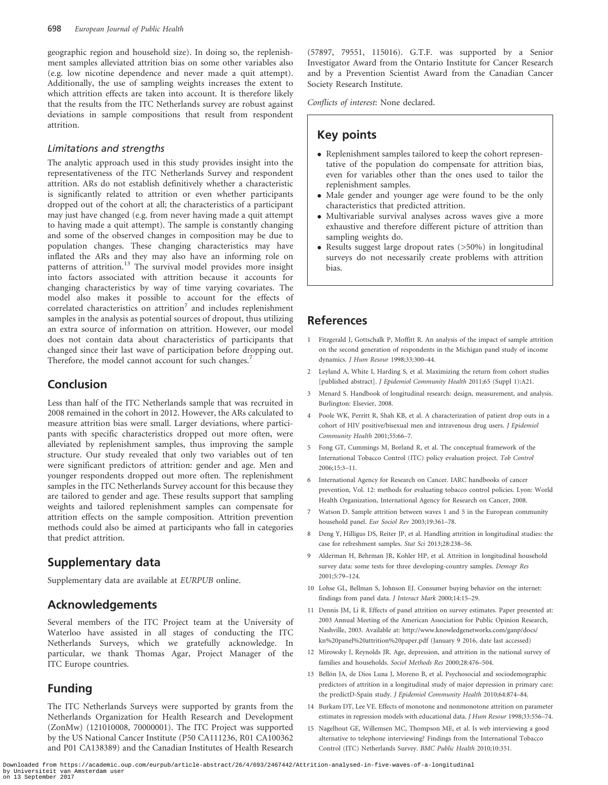geographic region and household size). In doing so, the replenishment samples alleviated attrition bias on some other variables also (e.g. low nicotine dependence and never made a quit attempt). Additionally, the use of sampling weights increases the extent to which attrition effects are taken into account. It is therefore likely that the results from the ITC Netherlands survey are robust against deviations in sample compositions that result from respondent attrition.

### Limitations and strengths

The analytic approach used in this study provides insight into the representativeness of the ITC Netherlands Survey and respondent attrition. ARs do not establish definitively whether a characteristic is significantly related to attrition or even whether participants dropped out of the cohort at all; the characteristics of a participant may just have changed (e.g. from never having made a quit attempt to having made a quit attempt). The sample is constantly changing and some of the observed changes in composition may be due to population changes. These changing characteristics may have inflated the ARs and they may also have an informing role on patterns of attrition.<sup>13</sup> The survival model provides more insight into factors associated with attrition because it accounts for changing characteristics by way of time varying covariates. The model also makes it possible to account for the effects of correlated characteristics on attrition<sup>7</sup> and includes replenishment samples in the analysis as potential sources of dropout, thus utilizing an extra source of information on attrition. However, our model does not contain data about characteristics of participants that changed since their last wave of participation before dropping out. Therefore, the model cannot account for such changes.<sup>7</sup>

# Conclusion

Less than half of the ITC Netherlands sample that was recruited in 2008 remained in the cohort in 2012. However, the ARs calculated to measure attrition bias were small. Larger deviations, where participants with specific characteristics dropped out more often, were alleviated by replenishment samples, thus improving the sample structure. Our study revealed that only two variables out of ten were significant predictors of attrition: gender and age. Men and younger respondents dropped out more often. The replenishment samples in the ITC Netherlands Survey account for this because they are tailored to gender and age. These results support that sampling weights and tailored replenishment samples can compensate for attrition effects on the sample composition. Attrition prevention methods could also be aimed at participants who fall in categories that predict attrition.

# Supplementary data

[Supplementary data](http://eurpub.oxfordjournals.org/lookup/suppl/doi:10.1093/eurpub/ckw037/-/DC1) are available at EURPUB online.

## Acknowledgements

Several members of the ITC Project team at the University of Waterloo have assisted in all stages of conducting the ITC Netherlands Surveys, which we gratefully acknowledge. In particular, we thank Thomas Agar, Project Manager of the ITC Europe countries.

# Funding

The ITC Netherlands Surveys were supported by grants from the Netherlands Organization for Health Research and Development (ZonMw) (121010008, 70000001). The ITC Project was supported by the US National Cancer Institute (P50 CA111236, R01 CA100362 and P01 CA138389) and the Canadian Institutes of Health Research

(57897, 79551, 115016). G.T.F. was supported by a Senior Investigator Award from the Ontario Institute for Cancer Research and by a Prevention Scientist Award from the Canadian Cancer Society Research Institute.

Conflicts of interest: None declared.

# Key points

- Replenishment samples tailored to keep the cohort representative of the population do compensate for attrition bias, even for variables other than the ones used to tailor the replenishment samples.
- Male gender and younger age were found to be the only characteristics that predicted attrition.
- Multivariable survival analyses across waves give a more exhaustive and therefore different picture of attrition than sampling weights do.
- Results suggest large dropout rates (>50%) in longitudinal surveys do not necessarily create problems with attrition bias.

## References

- 1 Fitzgerald J, Gottschalk P, Moffitt R. An analysis of the impact of sample attrition on the second generation of respondents in the Michigan panel study of income dynamics. J Hum Resour 1998;33:300–44.
- 2 Leyland A, White I, Harding S, et al. Maximizing the return from cohort studies [published abstract]. J Epidemiol Community Health 2011;65 (Suppl 1):A21.
- 3 Menard S. Handbook of longitudinal research: design, measurement, and analysis. Burlington: Elsevier, 2008.
- 4 Poole WK, Perritt R, Shah KB, et al. A characterization of patient drop outs in a cohort of HIV positive/bisexual men and intravenous drug users. J Epidemiol Community Health 2001;55:66–7.
- 5 Fong GT, Cummings M, Borland R, et al. The conceptual framework of the International Tobacco Control (ITC) policy evaluation project. Tob Control 2006;15:3–11.
- 6 International Agency for Research on Cancer. IARC handbooks of cancer prevention, Vol. 12: methods for evaluating tobacco control policies. Lyon: World Health Organization, International Agency for Research on Cancer, 2008.
- 7 Watson D. Sample attrition between waves 1 and 5 in the European community household panel. Eur Sociol Rev 2003;19:361–78.
- 8 Deng Y, Hilligus DS, Reiter JP, et al. Handling attrition in longitudinal studies: the case for refreshment samples. Stat Sci 2013;28:238–56.
- 9 Alderman H, Behrman JR, Kohler HP, et al. Attrition in longitudinal household survey data: some tests for three developing-country samples. Demogr Res 2001;5:79–124.
- 10 Lohse GL, Bellman S, Johnson EJ. Consumer buying behavior on the internet: findings from panel data. J Interact Mark 2000;14:15–29.
- 11 Dennis JM, Li R. Effects of panel attrition on survey estimates. Paper presented at: 2003 Annual Meeting of the American Association for Public Opinion Research, Nashville, 2003. Available at: [http://www.knowledgenetworks.com/ganp/docs/](http://www.knowledgenetworks.com/ganp/docs/kn%20panel%20attrition%20paper.pdf) [kn%20panel%20attrition%20paper.pdf](http://www.knowledgenetworks.com/ganp/docs/kn%20panel%20attrition%20paper.pdf) (January 9 2016, date last accessed)
- 12 Mirowsky J, Reynolds JR. Age, depression, and attrition in the national survey of families and households. Sociol Methods Res 2000;28:476–504.
- 13 Bellón JA, de Dios Luna J, Moreno B, et al. Psychosocial and sociodemographic predictors of attrition in a longitudinal study of major depression in primary care: the predictD-Spain study. J Epidemiol Community Health 2010;64:874–84.
- 14 Burkam DT, Lee VE. Effects of monotone and nonmonotone attrition on parameter estimates in regression models with educational data. J Hum Resour 1998;33:556–74.
- 15 Nagelhout GE, Willemsen MC, Thompson ME, et al. Is web interviewing a good alternative to telephone interviewing? Findings from the International Tobacco Control (ITC) Netherlands Survey. BMC Public Health 2010;10:351.

Downloaded from https://academic.oup.com/eurpub/article-abstract/26/4/693/2467442/Attrition-analysed-in-five-waves-of-a-longitudinal by Universiteit van Amsterdam user on 13 September 2017